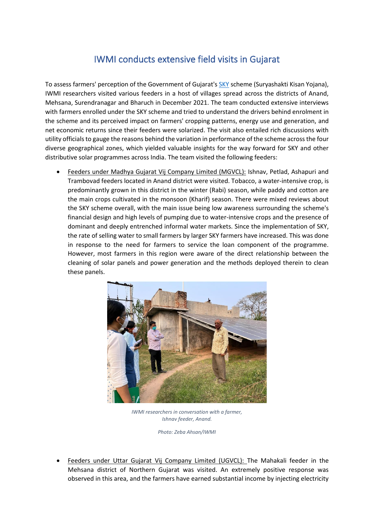## IWMI conducts extensive field visits in Gujarat

To assess farmers' perception of the Government of Gujarat'[s SKY](https://www.gprd.in/sky.php) scheme (Suryashakti Kisan Yojana), IWMI researchers visited various feeders in a host of villages spread across the districts of Anand, Mehsana, Surendranagar and Bharuch in December 2021. The team conducted extensive interviews with farmers enrolled under the SKY scheme and tried to understand the drivers behind enrolment in the scheme and its perceived impact on farmers' cropping patterns, energy use and generation, and net economic returns since their feeders were solarized. The visit also entailed rich discussions with utility officials to gauge the reasons behind the variation in performance of the scheme across the four diverse geographical zones, which yielded valuable insights for the way forward for SKY and other distributive solar programmes across India. The team visited the following feeders:

• Feeders under Madhya Gujarat Vij Company Limited (MGVCL): Ishnav, Petlad, Ashapuri and Trambovad feeders located in Anand district were visited. Tobacco, a water-intensive crop, is predominantly grown in this district in the winter (Rabi) season, while paddy and cotton are the main crops cultivated in the monsoon (Kharif) season. There were mixed reviews about the SKY scheme overall, with the main issue being low awareness surrounding the scheme's financial design and high levels of pumping due to water-intensive crops and the presence of dominant and deeply entrenched informal water markets. Since the implementation of SKY, the rate of selling water to small farmers by larger SKY farmers have increased. This was done in response to the need for farmers to service the loan component of the programme. However, most farmers in this region were aware of the direct relationship between the cleaning of solar panels and power generation and the methods deployed therein to clean these panels.



*IWMI researchers in conversation with a farmer, Ishnav feeder, Anand.*

*Photo: Zeba Ahsan/IWMI*

• Feeders under Uttar Gujarat Vij Company Limited (UGVCL): The Mahakali feeder in the Mehsana district of Northern Gujarat was visited. An extremely positive response was observed in this area, and the farmers have earned substantial income by injecting electricity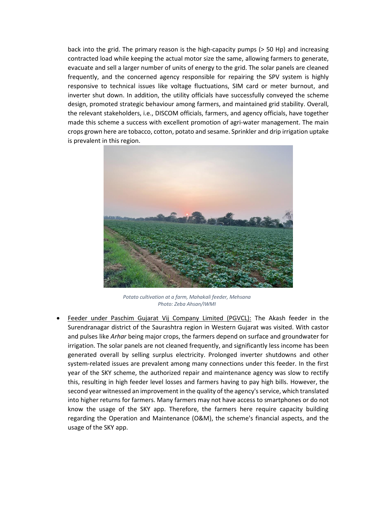back into the grid. The primary reason is the high-capacity pumps (> 50 Hp) and increasing contracted load while keeping the actual motor size the same, allowing farmers to generate, evacuate and sell a larger number of units of energy to the grid. The solar panels are cleaned frequently, and the concerned agency responsible for repairing the SPV system is highly responsive to technical issues like voltage fluctuations, SIM card or meter burnout, and inverter shut down. In addition, the utility officials have successfully conveyed the scheme design, promoted strategic behaviour among farmers, and maintained grid stability. Overall, the relevant stakeholders, i.e., DISCOM officials, farmers, and agency officials, have together made this scheme a success with excellent promotion of agri-water management. The main crops grown here are tobacco, cotton, potato and sesame. Sprinkler and drip irrigation uptake is prevalent in this region.



*Potato cultivation at a farm, Mahakali feeder, Mehsana Photo: Zeba Ahsan/IWMI*

• Feeder under Paschim Gujarat Vij Company Limited (PGVCL): The Akash feeder in the Surendranagar district of the Saurashtra region in Western Gujarat was visited. With castor and pulses like *Arhar* being major crops, the farmers depend on surface and groundwater for irrigation. The solar panels are not cleaned frequently, and significantly less income has been generated overall by selling surplus electricity. Prolonged inverter shutdowns and other system-related issues are prevalent among many connections under this feeder. In the first year of the SKY scheme, the authorized repair and maintenance agency was slow to rectify this, resulting in high feeder level losses and farmers having to pay high bills. However, the second year witnessed an improvement in the quality of the agency's service, which translated into higher returns for farmers. Many farmers may not have access to smartphones or do not know the usage of the SKY app. Therefore, the farmers here require capacity building regarding the Operation and Maintenance (O&M), the scheme's financial aspects, and the usage of the SKY app.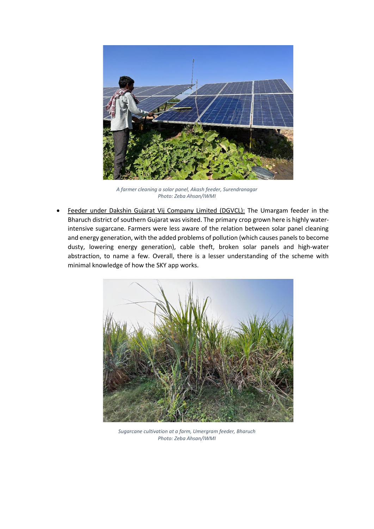

*A farmer cleaning a solar panel, Akash feeder, Surendranagar Photo: Zeba Ahsan/IWMI*

Feeder under Dakshin Gujarat Vij Company Limited (DGVCL): The Umargam feeder in the Bharuch district of southern Gujarat was visited. The primary crop grown here is highly waterintensive sugarcane. Farmers were less aware of the relation between solar panel cleaning and energy generation, with the added problems of pollution (which causes panels to become dusty, lowering energy generation), cable theft, broken solar panels and high-water abstraction, to name a few. Overall, there is a lesser understanding of the scheme with minimal knowledge of how the SKY app works.



*Sugarcane cultivation at a farm, Umergram feeder, Bharuch Photo: Zeba Ahsan/IWMI*